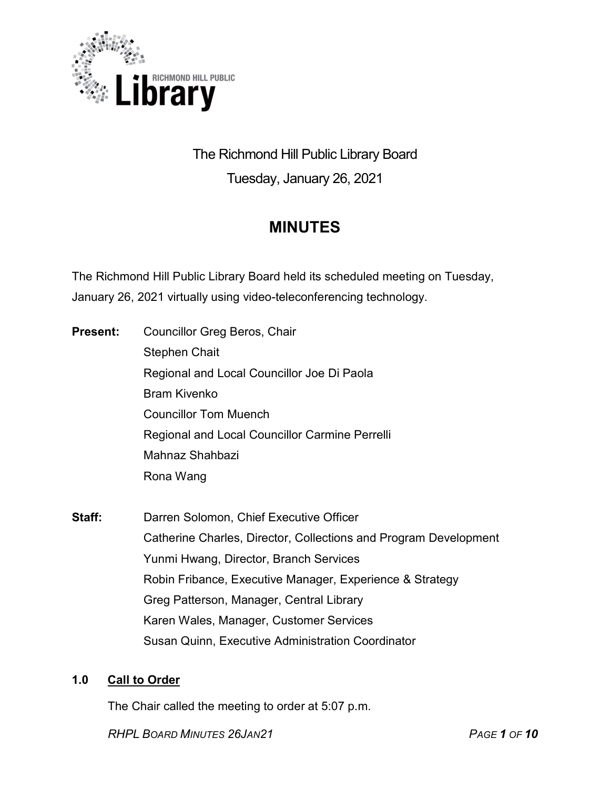

# The Richmond Hill Public Library Board Tuesday, January 26, 2021

# MINUTES

The Richmond Hill Public Library Board held its scheduled meeting on Tuesday, January 26, 2021 virtually using video-teleconferencing technology.

- **Present:** Councillor Greg Beros, Chair Stephen Chait Regional and Local Councillor Joe Di Paola Bram Kivenko Councillor Tom Muench Regional and Local Councillor Carmine Perrelli Mahnaz Shahbazi Rona Wang
- Staff: Darren Solomon, Chief Executive Officer Catherine Charles, Director, Collections and Program Development Yunmi Hwang, Director, Branch Services Robin Fribance, Executive Manager, Experience & Strategy Greg Patterson, Manager, Central Library Karen Wales, Manager, Customer Services Susan Quinn, Executive Administration Coordinator

# 1.0 Call to Order

The Chair called the meeting to order at 5:07 p.m.

RHPL BOARD MINUTES 26JAN21 PAGE 1 OF 10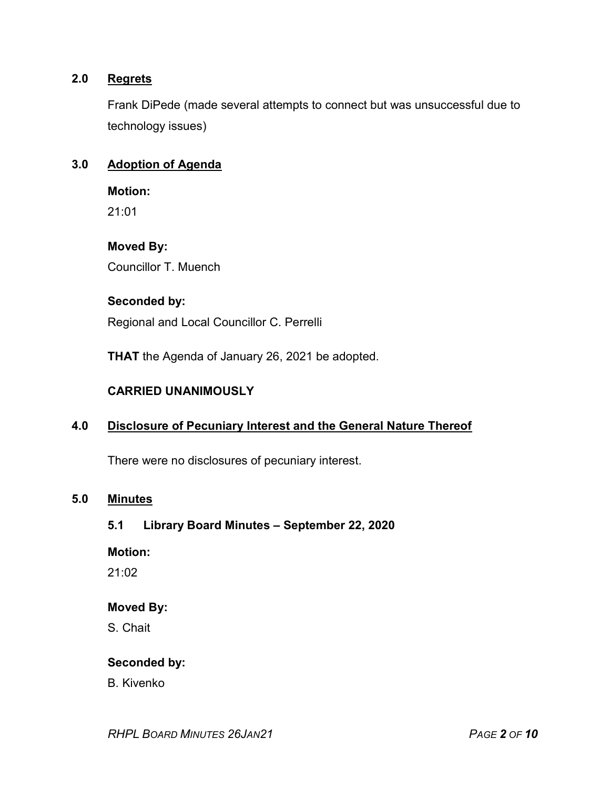# 2.0 Regrets

Frank DiPede (made several attempts to connect but was unsuccessful due to technology issues)

#### 3.0 Adoption of Agenda

Motion:

21:01

Moved By:

Councillor T. Muench

#### Seconded by:

Regional and Local Councillor C. Perrelli

THAT the Agenda of January 26, 2021 be adopted.

#### CARRIED UNANIMOUSLY

# 4.0 Disclosure of Pecuniary Interest and the General Nature Thereof

There were no disclosures of pecuniary interest.

#### 5.0 Minutes

#### 5.1 Library Board Minutes – September 22, 2020

#### Motion:

21:02

#### Moved By:

S. Chait

#### Seconded by:

B. Kivenko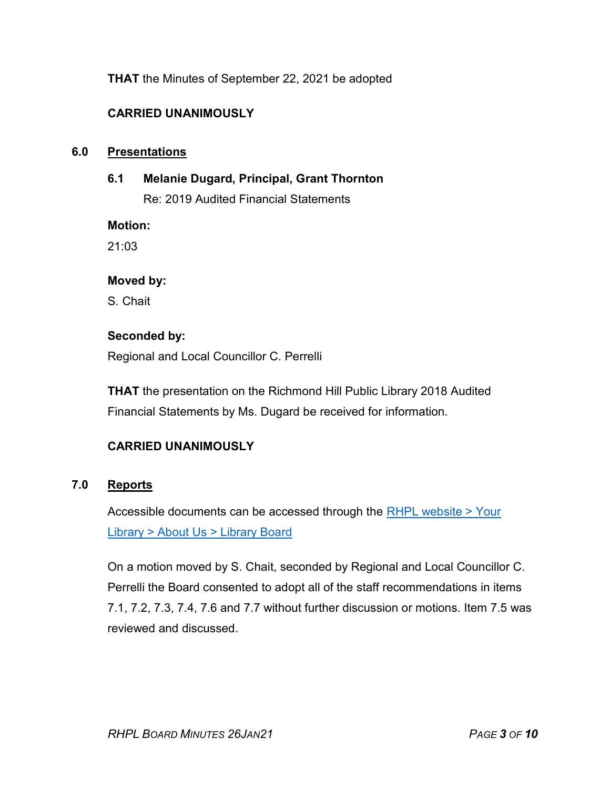THAT the Minutes of September 22, 2021 be adopted

# CARRIED UNANIMOUSLY

#### 6.0 Presentations

6.1 Melanie Dugard, Principal, Grant Thornton

Re: 2019 Audited Financial Statements

Motion:

21:03

#### Moved by:

S. Chait

#### Seconded by:

Regional and Local Councillor C. Perrelli

THAT the presentation on the Richmond Hill Public Library 2018 Audited Financial Statements by Ms. Dugard be received for information.

# CARRIED UNANIMOUSLY

# 7.0 Reports

Accessible documents can be accessed through the RHPL website > Your Library > About Us > Library Board

On a motion moved by S. Chait, seconded by Regional and Local Councillor C. Perrelli the Board consented to adopt all of the staff recommendations in items 7.1, 7.2, 7.3, 7.4, 7.6 and 7.7 without further discussion or motions. Item 7.5 was reviewed and discussed.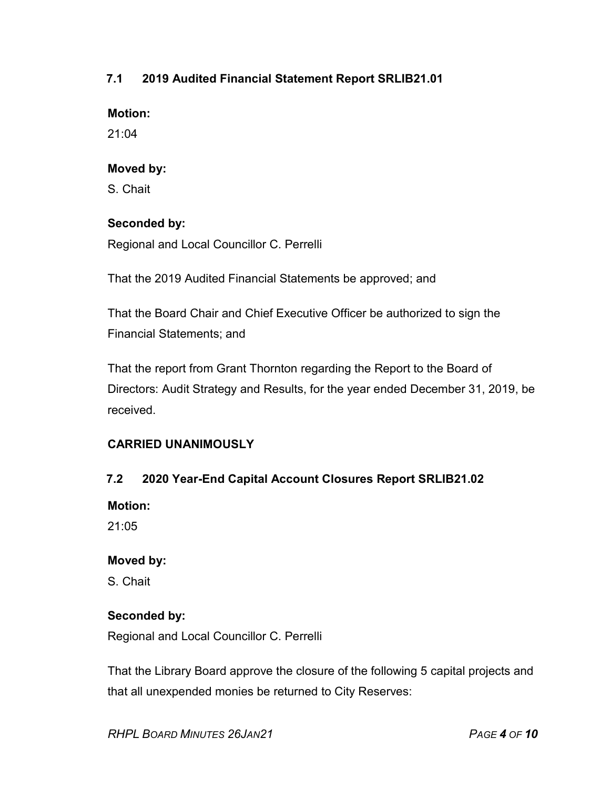# 7.1 2019 Audited Financial Statement Report SRLIB21.01

#### Motion:

21:04

# Moved by:

S. Chait

# Seconded by:

Regional and Local Councillor C. Perrelli

That the 2019 Audited Financial Statements be approved; and

That the Board Chair and Chief Executive Officer be authorized to sign the Financial Statements; and

That the report from Grant Thornton regarding the Report to the Board of Directors: Audit Strategy and Results, for the year ended December 31, 2019, be received.

# CARRIED UNANIMOUSLY

# 7.2 2020 Year-End Capital Account Closures Report SRLIB21.02

Motion:

21:05

# Moved by:

S. Chait

# Seconded by:

Regional and Local Councillor C. Perrelli

That the Library Board approve the closure of the following 5 capital projects and that all unexpended monies be returned to City Reserves: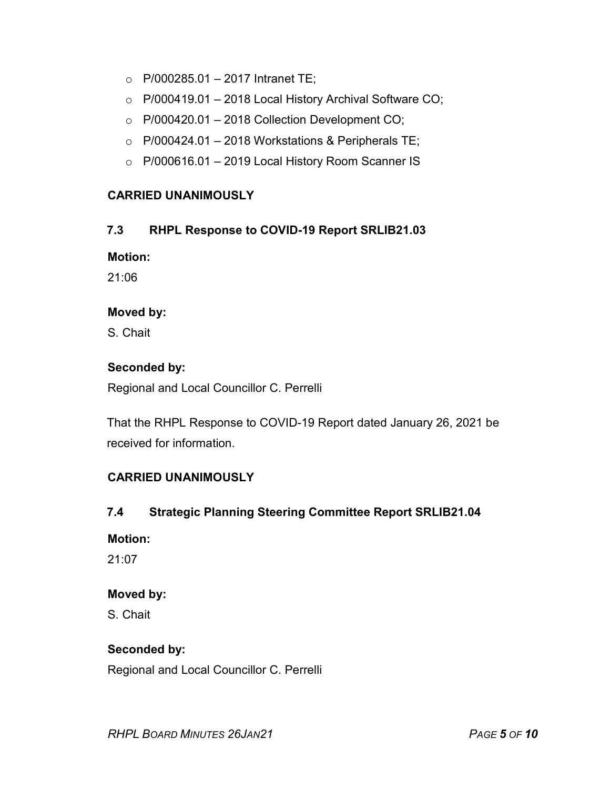- $\circ$  P/000285.01 2017 Intranet TE;
- o P/000419.01 2018 Local History Archival Software CO;
- $\circ$  P/000420.01 2018 Collection Development CO;
- $\circ$  P/000424.01 2018 Workstations & Peripherals TE;
- $\circ$  P/000616.01 2019 Local History Room Scanner IS

# CARRIED UNANIMOUSLY

# 7.3 RHPL Response to COVID-19 Report SRLIB21.03

Motion:

21:06

#### Moved by:

S. Chait

# Seconded by:

Regional and Local Councillor C. Perrelli

That the RHPL Response to COVID-19 Report dated January 26, 2021 be received for information.

# CARRIED UNANIMOUSLY

# 7.4 Strategic Planning Steering Committee Report SRLIB21.04

# Motion:

21:07

# Moved by:

S. Chait

# Seconded by:

Regional and Local Councillor C. Perrelli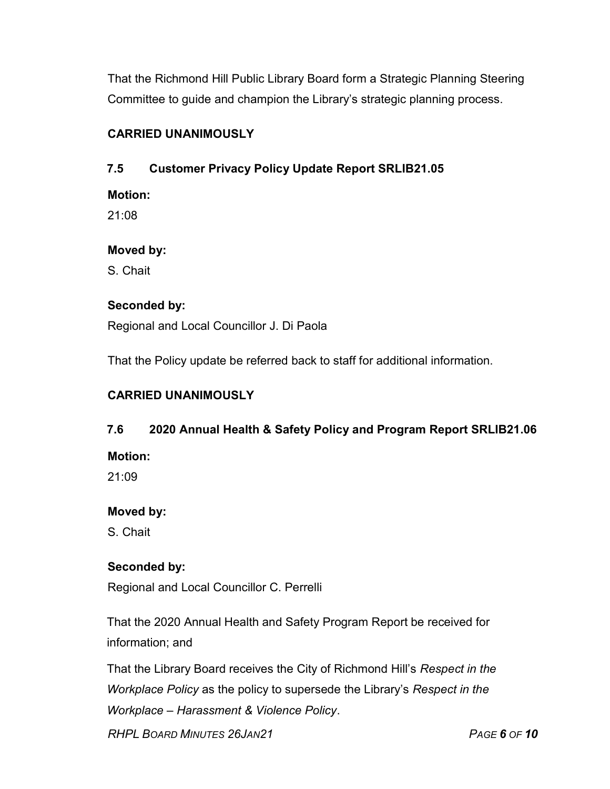That the Richmond Hill Public Library Board form a Strategic Planning Steering Committee to guide and champion the Library's strategic planning process.

# CARRIED UNANIMOUSLY

# 7.5 Customer Privacy Policy Update Report SRLIB21.05

Motion:

21:08

# Moved by:

S. Chait

# Seconded by:

Regional and Local Councillor J. Di Paola

That the Policy update be referred back to staff for additional information.

# CARRIED UNANIMOUSLY

# 7.6 2020 Annual Health & Safety Policy and Program Report SRLIB21.06

Motion:

21:09

# Moved by:

S. Chait

# Seconded by:

Regional and Local Councillor C. Perrelli

That the 2020 Annual Health and Safety Program Report be received for information; and

That the Library Board receives the City of Richmond Hill's Respect in the Workplace Policy as the policy to supersede the Library's Respect in the Workplace – Harassment & Violence Policy.

RHPL BOARD MINUTES 26JAN21 PAGE 6 OF 10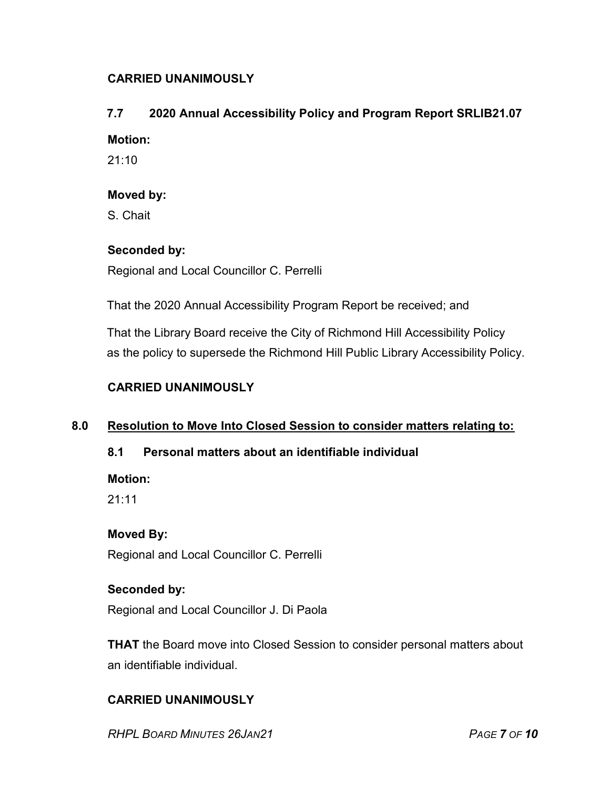# CARRIED UNANIMOUSLY

# 7.7 2020 Annual Accessibility Policy and Program Report SRLIB21.07

#### Motion:

21:10

#### Moved by:

S. Chait

# Seconded by:

Regional and Local Councillor C. Perrelli

That the 2020 Annual Accessibility Program Report be received; and

That the Library Board receive the City of Richmond Hill Accessibility Policy as the policy to supersede the Richmond Hill Public Library Accessibility Policy.

# CARRIED UNANIMOUSLY

# 8.0 Resolution to Move Into Closed Session to consider matters relating to:

# 8.1 Personal matters about an identifiable individual

Motion:

21:11

# Moved By:

Regional and Local Councillor C. Perrelli

# Seconded by:

Regional and Local Councillor J. Di Paola

**THAT** the Board move into Closed Session to consider personal matters about an identifiable individual.

# CARRIED UNANIMOUSLY

RHPL BOARD MINUTES 26JAN21 PAGE 7 OF 10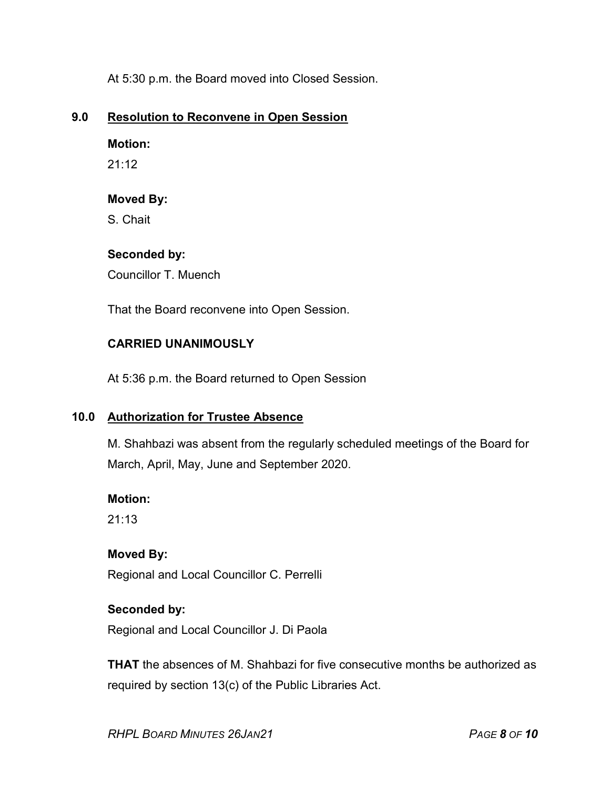At 5:30 p.m. the Board moved into Closed Session.

# 9.0 Resolution to Reconvene in Open Session

# Motion:

21:12

# Moved By:

S. Chait

# Seconded by:

Councillor T. Muench

That the Board reconvene into Open Session.

# CARRIED UNANIMOUSLY

At 5:36 p.m. the Board returned to Open Session

# 10.0 Authorization for Trustee Absence

M. Shahbazi was absent from the regularly scheduled meetings of the Board for March, April, May, June and September 2020.

# Motion:

21:13

# Moved By:

Regional and Local Councillor C. Perrelli

# Seconded by:

Regional and Local Councillor J. Di Paola

THAT the absences of M. Shahbazi for five consecutive months be authorized as required by section 13(c) of the Public Libraries Act.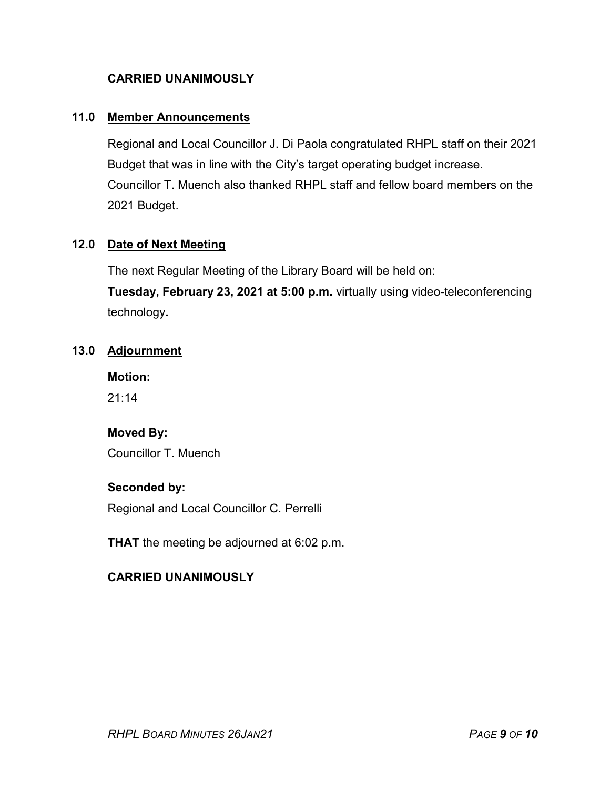# CARRIED UNANIMOUSLY

# 11.0 Member Announcements

Regional and Local Councillor J. Di Paola congratulated RHPL staff on their 2021 Budget that was in line with the City's target operating budget increase. Councillor T. Muench also thanked RHPL staff and fellow board members on the 2021 Budget.

# 12.0 Date of Next Meeting

The next Regular Meeting of the Library Board will be held on:

Tuesday, February 23, 2021 at 5:00 p.m. virtually using video-teleconferencing technology.

#### 13.0 Adjournment

Motion:

 $21:14$ 

# Moved By:

Councillor T. Muench

#### Seconded by:

Regional and Local Councillor C. Perrelli

**THAT** the meeting be adjourned at 6:02 p.m.

# CARRIED UNANIMOUSLY